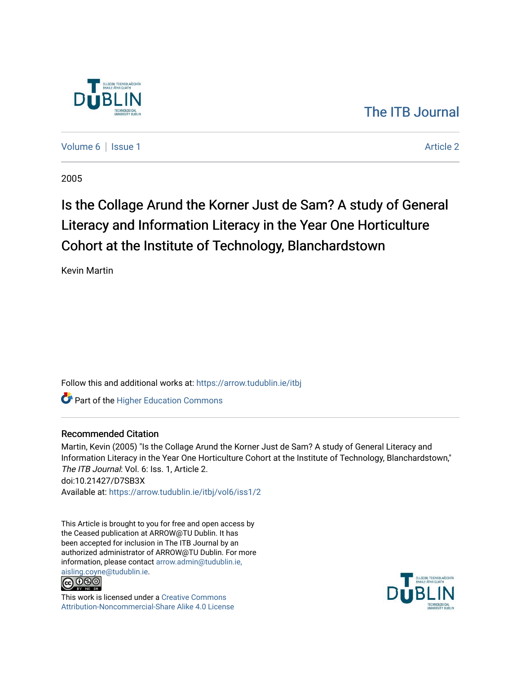

[The ITB Journal](https://arrow.tudublin.ie/itbj) 

[Volume 6](https://arrow.tudublin.ie/itbj/vol6) | [Issue 1](https://arrow.tudublin.ie/itbj/vol6/iss1) Article 2

2005

# Is the Collage Arund the Korner Just de Sam? A study of General Literacy and Information Literacy in the Year One Horticulture Cohort at the Institute of Technology, Blanchardstown

Kevin Martin

Follow this and additional works at: [https://arrow.tudublin.ie/itbj](https://arrow.tudublin.ie/itbj?utm_source=arrow.tudublin.ie%2Fitbj%2Fvol6%2Fiss1%2F2&utm_medium=PDF&utm_campaign=PDFCoverPages) 

**Part of the Higher Education Commons** 

## Recommended Citation

Martin, Kevin (2005) "Is the Collage Arund the Korner Just de Sam? A study of General Literacy and Information Literacy in the Year One Horticulture Cohort at the Institute of Technology, Blanchardstown," The ITB Journal: Vol. 6: Iss. 1. Article 2. doi:10.21427/D7SB3X Available at: [https://arrow.tudublin.ie/itbj/vol6/iss1/2](https://arrow.tudublin.ie/itbj/vol6/iss1/2?utm_source=arrow.tudublin.ie%2Fitbj%2Fvol6%2Fiss1%2F2&utm_medium=PDF&utm_campaign=PDFCoverPages) 

This Article is brought to you for free and open access by the Ceased publication at ARROW@TU Dublin. It has been accepted for inclusion in The ITB Journal by an authorized administrator of ARROW@TU Dublin. For more information, please contact [arrow.admin@tudublin.ie,](mailto:arrow.admin@tudublin.ie,%20aisling.coyne@tudublin.ie) 



This work is licensed under a [Creative Commons](http://creativecommons.org/licenses/by-nc-sa/4.0/) [Attribution-Noncommercial-Share Alike 4.0 License](http://creativecommons.org/licenses/by-nc-sa/4.0/)

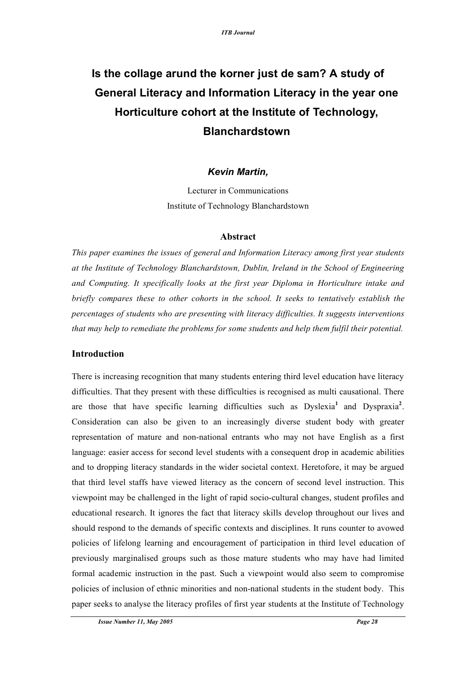# **Is the collage arund the korner just de sam? A study of General Literacy and Information Literacy in the year one Horticulture cohort at the Institute of Technology, Blanchardstown**

# *Kevin Martin,*

Lecturer in Communications Institute of Technology Blanchardstown

## **Abstract**

*This paper examines the issues of general and Information Literacy among first year students at the Institute of Technology Blanchardstown, Dublin, Ireland in the School of Engineering and Computing. It specifically looks at the first year Diploma in Horticulture intake and briefly compares these to other cohorts in the school. It seeks to tentatively establish the percentages of students who are presenting with literacy difficulties. It suggests interventions that may help to remediate the problems for some students and help them fulfil their potential.*

## **Introduction**

There is increasing recognition that many students entering third level education have literacy difficulties. That they present with these difficulties is recognised as multi causational. There are those that have specific learning difficulties such as Dyslexia<sup>1</sup> and Dyspraxia<sup>2</sup>. Consideration can also be given to an increasingly diverse student body with greater representation of mature and non-national entrants who may not have English as a first language: easier access for second level students with a consequent drop in academic abilities and to dropping literacy standards in the wider societal context. Heretofore, it may be argued that third level staffs have viewed literacy as the concern of second level instruction. This viewpoint may be challenged in the light of rapid socio-cultural changes, student profiles and educational research. It ignores the fact that literacy skills develop throughout our lives and should respond to the demands of specific contexts and disciplines. It runs counter to avowed policies of lifelong learning and encouragement of participation in third level education of previously marginalised groups such as those mature students who may have had limited formal academic instruction in the past. Such a viewpoint would also seem to compromise policies of inclusion of ethnic minorities and non-national students in the student body. This paper seeks to analyse the literacy profiles of first year students at the Institute of Technology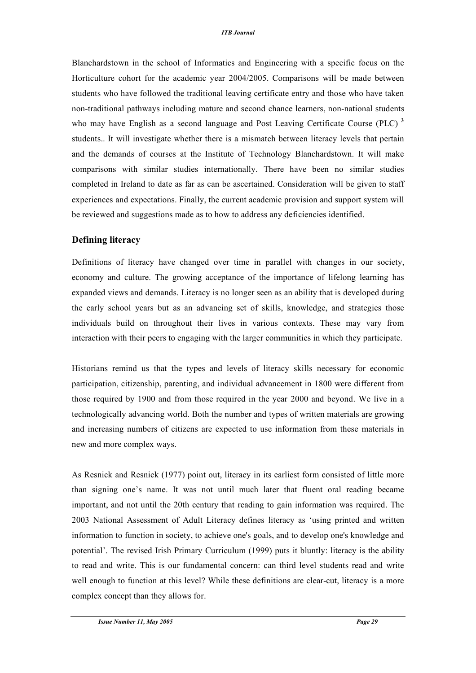Blanchardstown in the school of Informatics and Engineering with a specific focus on the Horticulture cohort for the academic year 2004/2005. Comparisons will be made between students who have followed the traditional leaving certificate entry and those who have taken non-traditional pathways including mature and second chance learners, non-national students who may have English as a second language and Post Leaving Certificate Course (PLC) **<sup>3</sup>** students.. It will investigate whether there is a mismatch between literacy levels that pertain and the demands of courses at the Institute of Technology Blanchardstown. It will make comparisons with similar studies internationally. There have been no similar studies completed in Ireland to date as far as can be ascertained. Consideration will be given to staff experiences and expectations. Finally, the current academic provision and support system will be reviewed and suggestions made as to how to address any deficiencies identified.

## **Defining literacy**

Definitions of literacy have changed over time in parallel with changes in our society, economy and culture. The growing acceptance of the importance of lifelong learning has expanded views and demands. Literacy is no longer seen as an ability that is developed during the early school years but as an advancing set of skills, knowledge, and strategies those individuals build on throughout their lives in various contexts. These may vary from interaction with their peers to engaging with the larger communities in which they participate.

Historians remind us that the types and levels of literacy skills necessary for economic participation, citizenship, parenting, and individual advancement in 1800 were different from those required by 1900 and from those required in the year 2000 and beyond. We live in a technologically advancing world. Both the number and types of written materials are growing and increasing numbers of citizens are expected to use information from these materials in new and more complex ways.

As Resnick and Resnick (1977) point out, literacy in its earliest form consisted of little more than signing one's name. It was not until much later that fluent oral reading became important, and not until the 20th century that reading to gain information was required. The 2003 National Assessment of Adult Literacy defines literacy as 'using printed and written information to function in society, to achieve one's goals, and to develop one's knowledge and potential'. The revised Irish Primary Curriculum (1999) puts it bluntly: literacy is the ability to read and write. This is our fundamental concern: can third level students read and write well enough to function at this level? While these definitions are clear-cut, literacy is a more complex concept than they allows for.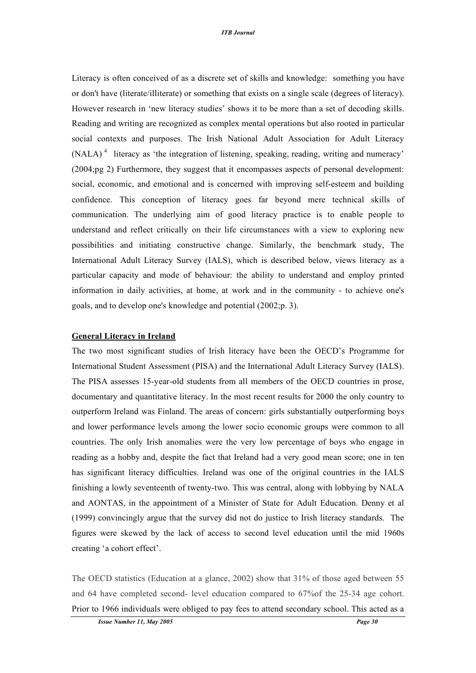Literacy is often conceived of as a discrete set of skills and knowledge: something you have or don't have (literate/illiterate) or something that exists on a single scale (degrees of literacy). However research in 'new literacy studies' shows it to be more than a set of decoding skills. Reading and writing are recognized as complex mental operations but also rooted in particular social contexts and purposes. The Irish National Adult Association for Adult Literacy (NALA)<sup>4</sup> literacy as 'the integration of listening, speaking, reading, writing and numeracy' (2004;pg 2) Furthermore, they suggest that it encompasses aspects of personal development: social, economic, and emotional and is concerned with improving self-esteem and building confidence. This conception of literacy goes far beyond mere technical skills of communication. The underlying aim of good literacy practice is to enable people to understand and reflect critically on their life circumstances with a view to exploring new possibilities and initiating constructive change. Similarly, the benchmark study, The International Adult Literacy Survey (IALS), which is described below, views literacy as a particular capacity and mode of behaviour: the ability to understand and employ printed information in daily activities, at home, at work and in the community - to achieve one's goals, and to develop one's knowledge and potential (2002;p. 3).

#### **General Literacy in Ireland**

The two most significant studies of Irish literacy have been the OECD's Programme for International Student Assessment (PISA) and the International Adult Literacy Survey (IALS). The PISA assesses 15-year-old students from all members of the OECD countries in prose, documentary and quantitative literacy. In the most recent results for 2000 the only country to outperform Ireland was Finland. The areas of concern: girls substantially outperforming boys and lower performance levels among the lower socio economic groups were common to all countries. The only Irish anomalies were the very low percentage of boys who engage in reading as a hobby and, despite the fact that Ireland had a very good mean score; one in ten has significant literacy difficulties. Ireland was one of the original countries in the IALS finishing a lowly seventeenth of twenty-two. This was central, along with lobbying by NALA and AONTAS, in the appointment of a Minister of State for Adult Education. Denny et al (1999) convincingly argue that the survey did not do justice to Irish literacy standards. The figures were skewed by the lack of access to second level education until the mid 1960s creating 'a cohort effect'.

The OECD statistics (Education at a glance, 2002) show that 31% of those aged between 55 and 64 have completed second- level education compared to 67%of the 25-34 age cohort. Prior to 1966 individuals were obliged to pay fees to attend secondary school. This acted as a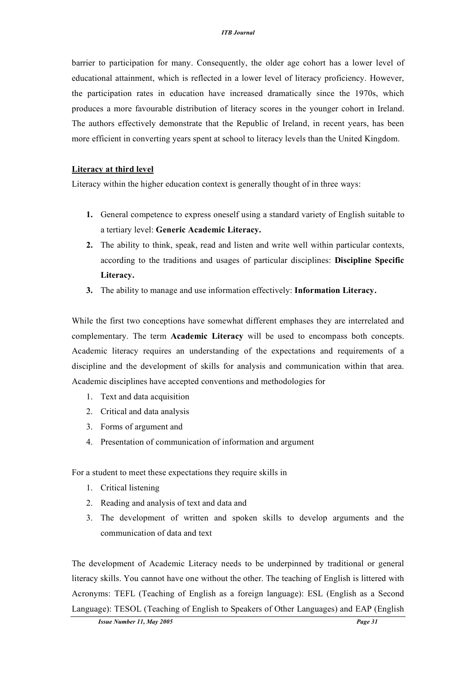barrier to participation for many. Consequently, the older age cohort has a lower level of educational attainment, which is reflected in a lower level of literacy proficiency. However, the participation rates in education have increased dramatically since the 1970s, which produces a more favourable distribution of literacy scores in the younger cohort in Ireland. The authors effectively demonstrate that the Republic of Ireland, in recent years, has been more efficient in converting years spent at school to literacy levels than the United Kingdom.

#### **Literacy at third level**

Literacy within the higher education context is generally thought of in three ways:

- **1.** General competence to express oneself using a standard variety of English suitable to a tertiary level: **Generic Academic Literacy.**
- **2.** The ability to think, speak, read and listen and write well within particular contexts, according to the traditions and usages of particular disciplines: **Discipline Specific Literacy.**
- **3.** The ability to manage and use information effectively: **Information Literacy.**

While the first two conceptions have somewhat different emphases they are interrelated and complementary. The term **Academic Literacy** will be used to encompass both concepts. Academic literacy requires an understanding of the expectations and requirements of a discipline and the development of skills for analysis and communication within that area. Academic disciplines have accepted conventions and methodologies for

- 1. Text and data acquisition
- 2. Critical and data analysis
- 3. Forms of argument and
- 4. Presentation of communication of information and argument

For a student to meet these expectations they require skills in

- 1. Critical listening
- 2. Reading and analysis of text and data and
- 3. The development of written and spoken skills to develop arguments and the communication of data and text

The development of Academic Literacy needs to be underpinned by traditional or general literacy skills. You cannot have one without the other. The teaching of English is littered with Acronyms: TEFL (Teaching of English as a foreign language): ESL (English as a Second Language): TESOL (Teaching of English to Speakers of Other Languages) and EAP (English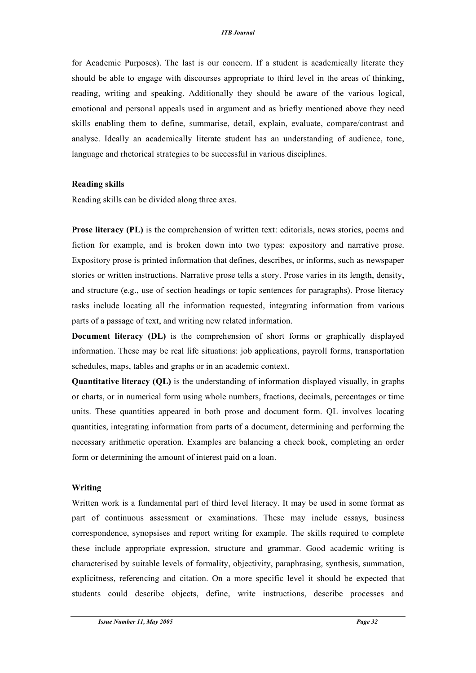for Academic Purposes). The last is our concern. If a student is academically literate they should be able to engage with discourses appropriate to third level in the areas of thinking, reading, writing and speaking. Additionally they should be aware of the various logical, emotional and personal appeals used in argument and as briefly mentioned above they need skills enabling them to define, summarise, detail, explain, evaluate, compare/contrast and analyse. Ideally an academically literate student has an understanding of audience, tone, language and rhetorical strategies to be successful in various disciplines.

#### **Reading skills**

Reading skills can be divided along three axes.

**Prose literacy (PL)** is the comprehension of written text: editorials, news stories, poems and fiction for example, and is broken down into two types: expository and narrative prose. Expository prose is printed information that defines, describes, or informs, such as newspaper stories or written instructions. Narrative prose tells a story. Prose varies in its length, density, and structure (e.g., use of section headings or topic sentences for paragraphs). Prose literacy tasks include locating all the information requested, integrating information from various parts of a passage of text, and writing new related information.

**Document literacy (DL)** is the comprehension of short forms or graphically displayed information. These may be real life situations: job applications, payroll forms, transportation schedules, maps, tables and graphs or in an academic context.

**Quantitative literacy (QL)** is the understanding of information displayed visually, in graphs or charts, or in numerical form using whole numbers, fractions, decimals, percentages or time units. These quantities appeared in both prose and document form. QL involves locating quantities, integrating information from parts of a document, determining and performing the necessary arithmetic operation. Examples are balancing a check book, completing an order form or determining the amount of interest paid on a loan.

#### **Writing**

Written work is a fundamental part of third level literacy. It may be used in some format as part of continuous assessment or examinations. These may include essays, business correspondence, synopsises and report writing for example. The skills required to complete these include appropriate expression, structure and grammar. Good academic writing is characterised by suitable levels of formality, objectivity, paraphrasing, synthesis, summation, explicitness, referencing and citation. On a more specific level it should be expected that students could describe objects, define, write instructions, describe processes and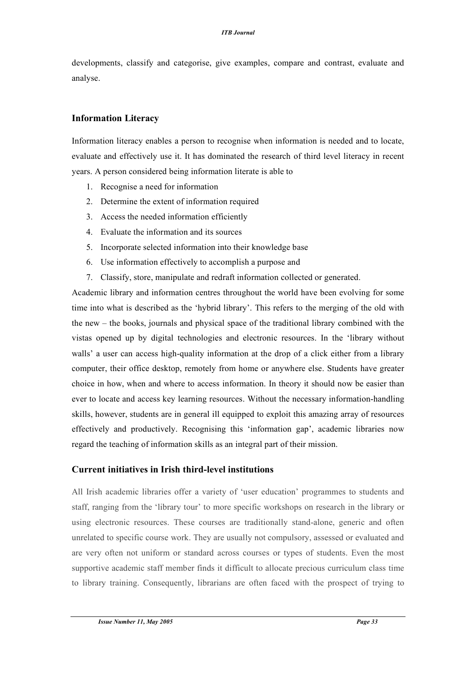developments, classify and categorise, give examples, compare and contrast, evaluate and analyse.

### **Information Literacy**

Information literacy enables a person to recognise when information is needed and to locate, evaluate and effectively use it. It has dominated the research of third level literacy in recent years. A person considered being information literate is able to

- 1. Recognise a need for information
- 2. Determine the extent of information required
- 3. Access the needed information efficiently
- 4. Evaluate the information and its sources
- 5. Incorporate selected information into their knowledge base
- 6. Use information effectively to accomplish a purpose and
- 7. Classify, store, manipulate and redraft information collected or generated.

Academic library and information centres throughout the world have been evolving for some time into what is described as the 'hybrid library'. This refers to the merging of the old with the new – the books, journals and physical space of the traditional library combined with the vistas opened up by digital technologies and electronic resources. In the 'library without walls' a user can access high-quality information at the drop of a click either from a library computer, their office desktop, remotely from home or anywhere else. Students have greater choice in how, when and where to access information. In theory it should now be easier than ever to locate and access key learning resources. Without the necessary information-handling skills, however, students are in general ill equipped to exploit this amazing array of resources effectively and productively. Recognising this 'information gap', academic libraries now regard the teaching of information skills as an integral part of their mission.

### **Current initiatives in Irish third-level institutions**

All Irish academic libraries offer a variety of 'user education' programmes to students and staff, ranging from the 'library tour' to more specific workshops on research in the library or using electronic resources. These courses are traditionally stand-alone, generic and often unrelated to specific course work. They are usually not compulsory, assessed or evaluated and are very often not uniform or standard across courses or types of students. Even the most supportive academic staff member finds it difficult to allocate precious curriculum class time to library training. Consequently, librarians are often faced with the prospect of trying to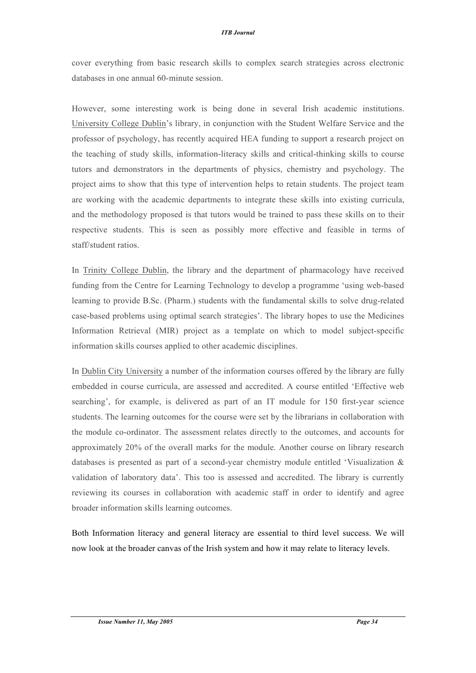#### *ITB Journal*

cover everything from basic research skills to complex search strategies across electronic databases in one annual 60-minute session.

However, some interesting work is being done in several Irish academic institutions. University College Dublin's library, in conjunction with the Student Welfare Service and the professor of psychology, has recently acquired HEA funding to support a research project on the teaching of study skills, information-literacy skills and critical-thinking skills to course tutors and demonstrators in the departments of physics, chemistry and psychology. The project aims to show that this type of intervention helps to retain students. The project team are working with the academic departments to integrate these skills into existing curricula, and the methodology proposed is that tutors would be trained to pass these skills on to their respective students. This is seen as possibly more effective and feasible in terms of staff/student ratios.

In Trinity College Dublin, the library and the department of pharmacology have received funding from the Centre for Learning Technology to develop a programme 'using web-based learning to provide B.Sc. (Pharm.) students with the fundamental skills to solve drug-related case-based problems using optimal search strategies'. The library hopes to use the Medicines Information Retrieval (MIR) project as a template on which to model subject-specific information skills courses applied to other academic disciplines.

In Dublin City University a number of the information courses offered by the library are fully embedded in course curricula, are assessed and accredited. A course entitled 'Effective web searching', for example, is delivered as part of an IT module for 150 first-year science students. The learning outcomes for the course were set by the librarians in collaboration with the module co-ordinator. The assessment relates directly to the outcomes, and accounts for approximately 20% of the overall marks for the module. Another course on library research databases is presented as part of a second-year chemistry module entitled 'Visualization & validation of laboratory data'. This too is assessed and accredited. The library is currently reviewing its courses in collaboration with academic staff in order to identify and agree broader information skills learning outcomes.

Both Information literacy and general literacy are essential to third level success. We will now look at the broader canvas of the Irish system and how it may relate to literacy levels.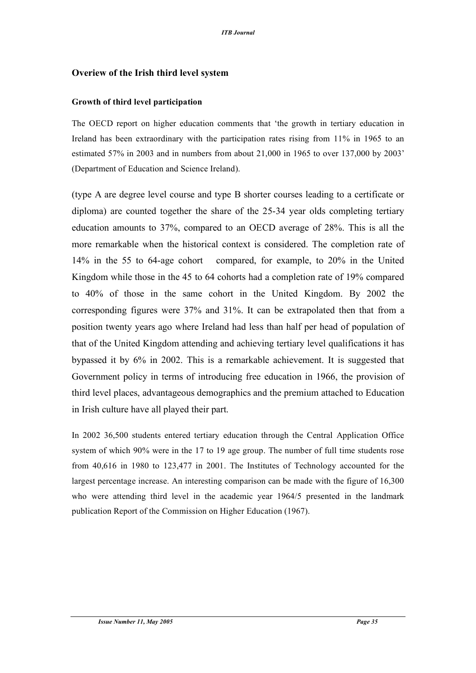# **Overiew of the Irish third level system**

### **Growth of third level participation**

The OECD report on higher education comments that 'the growth in tertiary education in Ireland has been extraordinary with the participation rates rising from 11% in 1965 to an estimated 57% in 2003 and in numbers from about 21,000 in 1965 to over 137,000 by 2003' (Department of Education and Science Ireland).

(type A are degree level course and type B shorter courses leading to a certificate or diploma) are counted together the share of the 25-34 year olds completing tertiary education amounts to 37%, compared to an OECD average of 28%. This is all the more remarkable when the historical context is considered. The completion rate of 14% in the 55 to 64-age cohort compared, for example, to 20% in the United Kingdom while those in the 45 to 64 cohorts had a completion rate of 19% compared to 40% of those in the same cohort in the United Kingdom. By 2002 the corresponding figures were 37% and 31%. It can be extrapolated then that from a position twenty years ago where Ireland had less than half per head of population of that of the United Kingdom attending and achieving tertiary level qualifications it has bypassed it by 6% in 2002. This is a remarkable achievement. It is suggested that Government policy in terms of introducing free education in 1966, the provision of third level places, advantageous demographics and the premium attached to Education in Irish culture have all played their part.

In 2002 36,500 students entered tertiary education through the Central Application Office system of which 90% were in the 17 to 19 age group. The number of full time students rose from 40,616 in 1980 to 123,477 in 2001. The Institutes of Technology accounted for the largest percentage increase. An interesting comparison can be made with the figure of 16,300 who were attending third level in the academic year 1964/5 presented in the landmark publication Report of the Commission on Higher Education (1967).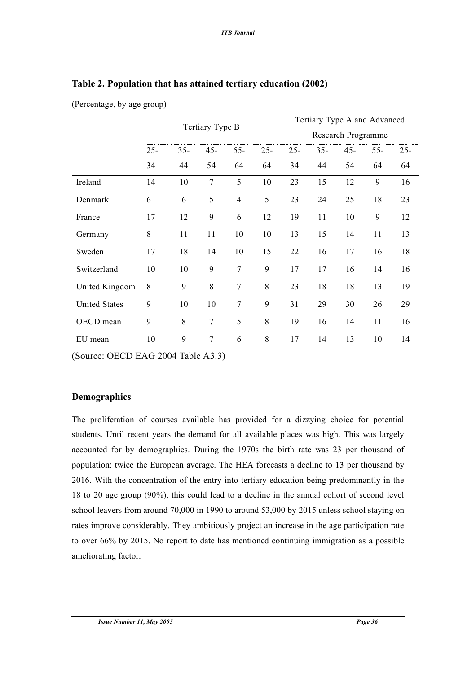|                      | Tertiary Type B |        |                |                |                    | Tertiary Type A and Advanced |        |        |        |        |
|----------------------|-----------------|--------|----------------|----------------|--------------------|------------------------------|--------|--------|--------|--------|
|                      |                 |        |                |                | Research Programme |                              |        |        |        |        |
|                      | $25 -$          | $35 -$ | $45 -$         | $55 -$         | $25 -$             | $25 -$                       | $35 -$ | $45 -$ | $55 -$ | $25 -$ |
|                      | 34              | 44     | 54             | 64             | 64                 | 34                           | 44     | 54     | 64     | 64     |
| Ireland              | 14              | 10     | $\overline{7}$ | 5              | 10                 | 23                           | 15     | 12     | 9      | 16     |
| Denmark              | 6               | 6      | 5              | $\overline{4}$ | 5                  | 23                           | 24     | 25     | 18     | 23     |
| France               | 17              | 12     | 9              | 6              | 12                 | 19                           | 11     | 10     | 9      | 12     |
| Germany              | 8               | 11     | 11             | 10             | 10                 | 13                           | 15     | 14     | 11     | 13     |
| Sweden               | 17              | 18     | 14             | 10             | 15                 | 22                           | 16     | 17     | 16     | 18     |
| Switzerland          | 10              | 10     | 9              | $\overline{7}$ | 9                  | 17                           | 17     | 16     | 14     | 16     |
| United Kingdom       | 8               | 9      | 8              | $\overline{7}$ | 8                  | 23                           | 18     | 18     | 13     | 19     |
| <b>United States</b> | 9               | 10     | 10             | $\overline{7}$ | 9                  | 31                           | 29     | 30     | 26     | 29     |
| OECD mean            | 9               | 8      | $\overline{7}$ | 5              | 8                  | 19                           | 16     | 14     | 11     | 16     |
| EU mean              | 10              | 9      | $\tau$         | 6              | 8                  | 17                           | 14     | 13     | 10     | 14     |

# **Table 2. Population that has attained tertiary education (2002)**

(Percentage, by age group)

(Source: OECD EAG 2004 Table A3.3)

# **Demographics**

The proliferation of courses available has provided for a dizzying choice for potential students. Until recent years the demand for all available places was high. This was largely accounted for by demographics. During the 1970s the birth rate was 23 per thousand of population: twice the European average. The HEA forecasts a decline to 13 per thousand by 2016. With the concentration of the entry into tertiary education being predominantly in the 18 to 20 age group (90%), this could lead to a decline in the annual cohort of second level school leavers from around 70,000 in 1990 to around 53,000 by 2015 unless school staying on rates improve considerably. They ambitiously project an increase in the age participation rate to over 66% by 2015. No report to date has mentioned continuing immigration as a possible ameliorating factor.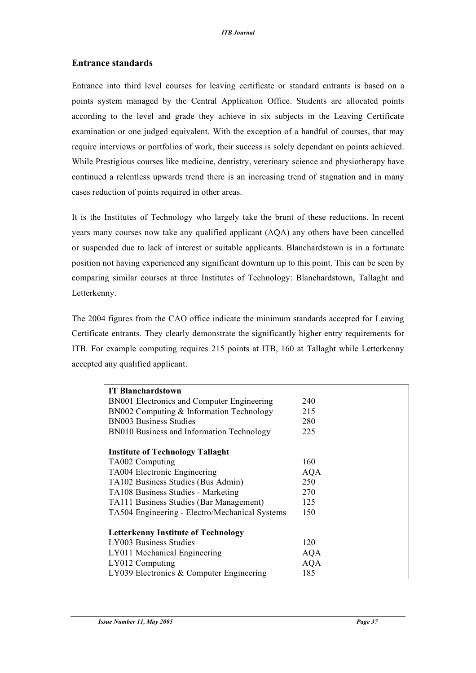## **Entrance standards**

Entrance into third level courses for leaving certificate or standard entrants is based on a points system managed by the Central Application Office. Students are allocated points according to the level and grade they achieve in six subjects in the Leaving Certificate examination or one judged equivalent. With the exception of a handful of courses, that may require interviews or portfolios of work, their success is solely dependant on points achieved. While Prestigious courses like medicine, dentistry, veterinary science and physiotherapy have continued a relentless upwards trend there is an increasing trend of stagnation and in many cases reduction of points required in other areas.

It is the Institutes of Technology who largely take the brunt of these reductions. In recent years many courses now take any qualified applicant (AQA) any others have been cancelled or suspended due to lack of interest or suitable applicants. Blanchardstown is in a fortunate position not having experienced any significant downturn up to this point. This can be seen by comparing similar courses at three Institutes of Technology: Blanchardstown, Tallaght and Letterkenny.

The 2004 figures from the CAO office indicate the minimum standards accepted for Leaving Certificate entrants. They clearly demonstrate the significantly higher entry requirements for ITB. For example computing requires 215 points at ITB, 160 at Tallaght while Letterkenny accepted any qualified applicant.

| <b>IT Blanchardstown</b>                       |            |
|------------------------------------------------|------------|
| BN001 Electronics and Computer Engineering     | 240        |
| BN002 Computing & Information Technology       | 215        |
| <b>BN003 Business Studies</b>                  | 280        |
| BN010 Business and Information Technology      | 225        |
|                                                |            |
| <b>Institute of Technology Tallaght</b>        |            |
| TA002 Computing                                | 160        |
| TA004 Electronic Engineering                   | <b>AQA</b> |
| TA102 Business Studies (Bus Admin)             | 250        |
| TA108 Business Studies - Marketing             | 270        |
| TA111 Business Studies (Bar Management)        | 125        |
| TA504 Engineering - Electro/Mechanical Systems | 150        |
|                                                |            |
| <b>Letterkenny Institute of Technology</b>     |            |
| LY003 Business Studies                         | 120        |
| LY011 Mechanical Engineering                   | <b>AQA</b> |
| LY012 Computing                                | <b>AQA</b> |
| LY039 Electronics $&$ Computer Engineering     | 185        |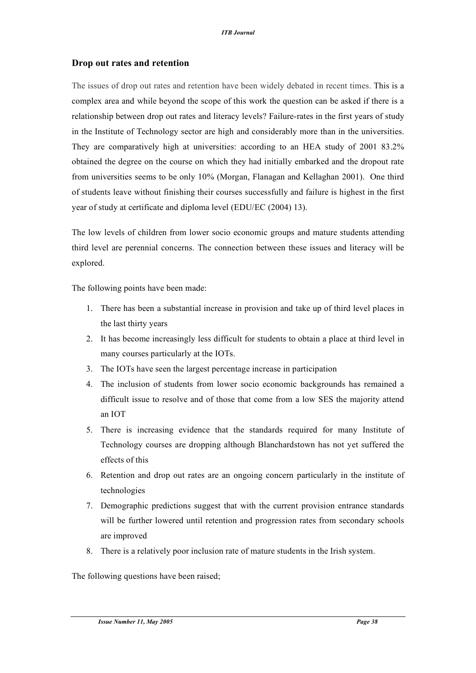# **Drop out rates and retention**

The issues of drop out rates and retention have been widely debated in recent times. This is a complex area and while beyond the scope of this work the question can be asked if there is a relationship between drop out rates and literacy levels? Failure-rates in the first years of study in the Institute of Technology sector are high and considerably more than in the universities. They are comparatively high at universities: according to an HEA study of 2001 83.2% obtained the degree on the course on which they had initially embarked and the dropout rate from universities seems to be only 10% (Morgan, Flanagan and Kellaghan 2001). One third of students leave without finishing their courses successfully and failure is highest in the first year of study at certificate and diploma level (EDU/EC (2004) 13).

The low levels of children from lower socio economic groups and mature students attending third level are perennial concerns. The connection between these issues and literacy will be explored.

The following points have been made:

- 1. There has been a substantial increase in provision and take up of third level places in the last thirty years
- 2. It has become increasingly less difficult for students to obtain a place at third level in many courses particularly at the IOTs.
- 3. The IOTs have seen the largest percentage increase in participation
- 4. The inclusion of students from lower socio economic backgrounds has remained a difficult issue to resolve and of those that come from a low SES the majority attend an IOT
- 5. There is increasing evidence that the standards required for many Institute of Technology courses are dropping although Blanchardstown has not yet suffered the effects of this
- 6. Retention and drop out rates are an ongoing concern particularly in the institute of technologies
- 7. Demographic predictions suggest that with the current provision entrance standards will be further lowered until retention and progression rates from secondary schools are improved
- 8. There is a relatively poor inclusion rate of mature students in the Irish system.

The following questions have been raised;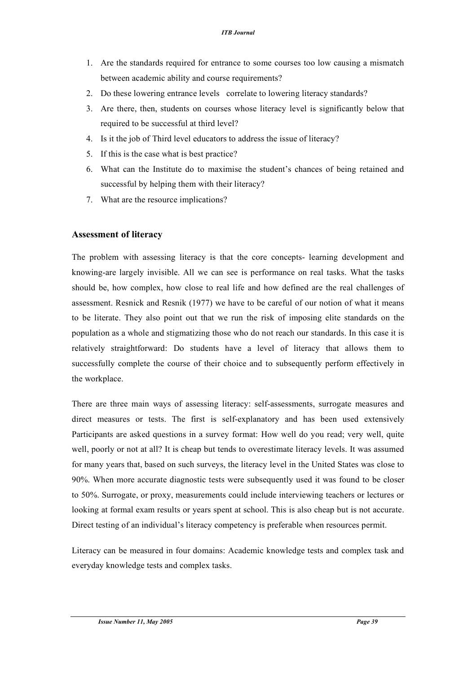- 1. Are the standards required for entrance to some courses too low causing a mismatch between academic ability and course requirements?
- 2. Do these lowering entrance levels correlate to lowering literacy standards?
- 3. Are there, then, students on courses whose literacy level is significantly below that required to be successful at third level?
- 4. Is it the job of Third level educators to address the issue of literacy?
- 5. If this is the case what is best practice?
- 6. What can the Institute do to maximise the student's chances of being retained and successful by helping them with their literacy?
- 7. What are the resource implications?

# **Assessment of literacy**

The problem with assessing literacy is that the core concepts- learning development and knowing-are largely invisible. All we can see is performance on real tasks. What the tasks should be, how complex, how close to real life and how defined are the real challenges of assessment. Resnick and Resnik (1977) we have to be careful of our notion of what it means to be literate. They also point out that we run the risk of imposing elite standards on the population as a whole and stigmatizing those who do not reach our standards. In this case it is relatively straightforward: Do students have a level of literacy that allows them to successfully complete the course of their choice and to subsequently perform effectively in the workplace.

There are three main ways of assessing literacy: self-assessments, surrogate measures and direct measures or tests. The first is self-explanatory and has been used extensively Participants are asked questions in a survey format: How well do you read; very well, quite well, poorly or not at all? It is cheap but tends to overestimate literacy levels. It was assumed for many years that, based on such surveys, the literacy level in the United States was close to 90%. When more accurate diagnostic tests were subsequently used it was found to be closer to 50%. Surrogate, or proxy, measurements could include interviewing teachers or lectures or looking at formal exam results or years spent at school. This is also cheap but is not accurate. Direct testing of an individual's literacy competency is preferable when resources permit.

Literacy can be measured in four domains: Academic knowledge tests and complex task and everyday knowledge tests and complex tasks.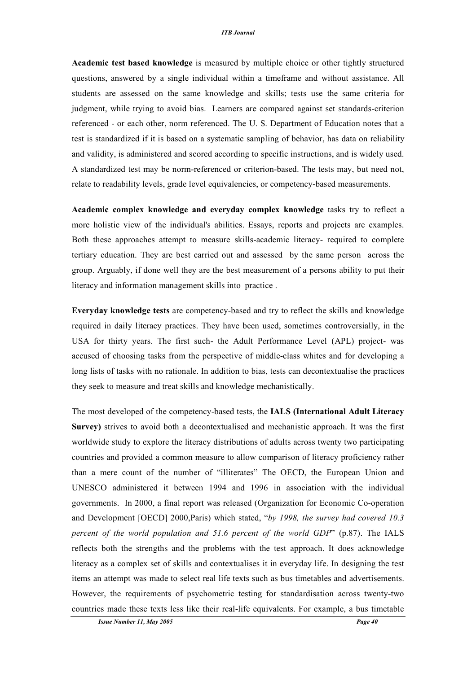#### *ITB Journal*

**Academic test based knowledge** is measured by multiple choice or other tightly structured questions, answered by a single individual within a timeframe and without assistance. All students are assessed on the same knowledge and skills; tests use the same criteria for judgment, while trying to avoid bias. Learners are compared against set standards-criterion referenced - or each other, norm referenced. The U. S. Department of Education notes that a test is standardized if it is based on a systematic sampling of behavior, has data on reliability and validity, is administered and scored according to specific instructions, and is widely used. A standardized test may be norm-referenced or criterion-based. The tests may, but need not, relate to readability levels, grade level equivalencies, or competency-based measurements.

**Academic complex knowledge and everyday complex knowledge** tasks try to reflect a more holistic view of the individual's abilities. Essays, reports and projects are examples. Both these approaches attempt to measure skills-academic literacy- required to complete tertiary education. They are best carried out and assessed by the same person across the group. Arguably, if done well they are the best measurement of a persons ability to put their literacy and information management skills into practice .

**Everyday knowledge tests** are competency-based and try to reflect the skills and knowledge required in daily literacy practices. They have been used, sometimes controversially, in the USA for thirty years. The first such- the Adult Performance Level (APL) project- was accused of choosing tasks from the perspective of middle-class whites and for developing a long lists of tasks with no rationale. In addition to bias, tests can decontextualise the practices they seek to measure and treat skills and knowledge mechanistically.

The most developed of the competency-based tests, the **IALS (International Adult Literacy Survey)** strives to avoid both a decontextualised and mechanistic approach. It was the first worldwide study to explore the literacy distributions of adults across twenty two participating countries and provided a common measure to allow comparison of literacy proficiency rather than a mere count of the number of "illiterates" The OECD, the European Union and UNESCO administered it between 1994 and 1996 in association with the individual governments. In 2000, a final report was released (Organization for Economic Co-operation and Development [OECD] 2000,Paris) which stated, "*by 1998, the survey had covered 10.3 percent of the world population and 51.6 percent of the world GDP*" (p.87). The IALS reflects both the strengths and the problems with the test approach. It does acknowledge literacy as a complex set of skills and contextualises it in everyday life. In designing the test items an attempt was made to select real life texts such as bus timetables and advertisements. However, the requirements of psychometric testing for standardisation across twenty-two countries made these texts less like their real-life equivalents. For example, a bus timetable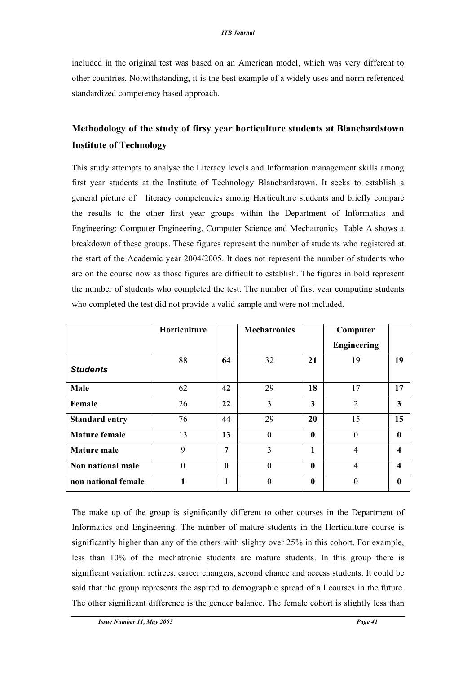included in the original test was based on an American model, which was very different to other countries. Notwithstanding, it is the best example of a widely uses and norm referenced standardized competency based approach.

# **Methodology of the study of firsy year horticulture students at Blanchardstown Institute of Technology**

This study attempts to analyse the Literacy levels and Information management skills among first year students at the Institute of Technology Blanchardstown. It seeks to establish a general picture of literacy competencies among Horticulture students and briefly compare the results to the other first year groups within the Department of Informatics and Engineering: Computer Engineering, Computer Science and Mechatronics. Table A shows a breakdown of these groups. These figures represent the number of students who registered at the start of the Academic year 2004/2005. It does not represent the number of students who are on the course now as those figures are difficult to establish. The figures in bold represent the number of students who completed the test. The number of first year computing students who completed the test did not provide a valid sample and were not included.

|                       | Horticulture |                  | <b>Mechatronics</b> |                  | Computer           |    |
|-----------------------|--------------|------------------|---------------------|------------------|--------------------|----|
|                       |              |                  |                     |                  | <b>Engineering</b> |    |
| <b>Students</b>       | 88           | 64               | 32                  | 21               | 19                 | 19 |
| Male                  | 62           | 42               | 29                  | 18               | 17                 | 17 |
| Female                | 26           | 22               | 3                   | 3                | $\overline{2}$     | 3  |
| <b>Standard entry</b> | 76           | 44               | 29                  | 20               | 15                 | 15 |
| <b>Mature female</b>  | 13           | 13               | $\theta$            | $\boldsymbol{0}$ | $\theta$           | 0  |
| <b>Mature male</b>    | 9            | $\overline{7}$   | $\overline{3}$      | 1                | 4                  | 4  |
| Non national male     | $\theta$     | $\boldsymbol{0}$ | $\boldsymbol{0}$    | $\boldsymbol{0}$ | 4                  | 4  |
| non national female   |              | 1                | $\theta$            | $\mathbf{0}$     | $\Omega$           | 0  |

The make up of the group is significantly different to other courses in the Department of Informatics and Engineering. The number of mature students in the Horticulture course is significantly higher than any of the others with slighty over 25% in this cohort. For example, less than 10% of the mechatronic students are mature students. In this group there is significant variation: retirees, career changers, second chance and access students. It could be said that the group represents the aspired to demographic spread of all courses in the future. The other significant difference is the gender balance. The female cohort is slightly less than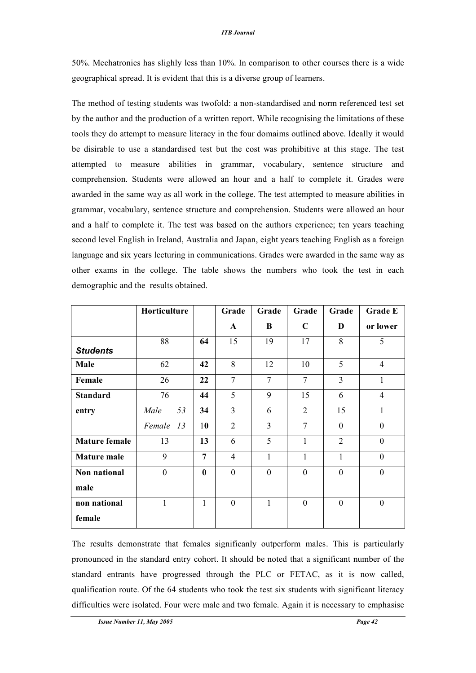#### *ITB Journal*

50%. Mechatronics has slighly less than 10%. In comparison to other courses there is a wide geographical spread. It is evident that this is a diverse group of learners.

The method of testing students was twofold: a non-standardised and norm referenced test set by the author and the production of a written report. While recognising the limitations of these tools they do attempt to measure literacy in the four domaims outlined above. Ideally it would be disirable to use a standardised test but the cost was prohibitive at this stage. The test attempted to measure abilities in grammar, vocabulary, sentence structure and comprehension. Students were allowed an hour and a half to complete it. Grades were awarded in the same way as all work in the college. The test attempted to measure abilities in grammar, vocabulary, sentence structure and comprehension. Students were allowed an hour and a half to complete it. The test was based on the authors experience; ten years teaching second level English in Ireland, Australia and Japan, eight years teaching English as a foreign language and six years lecturing in communications. Grades were awarded in the same way as other exams in the college. The table shows the numbers who took the test in each demographic and the results obtained.

|                      | Horticulture   |                | Grade          | Grade          | Grade          | Grade          | <b>Grade E</b> |
|----------------------|----------------|----------------|----------------|----------------|----------------|----------------|----------------|
|                      |                |                | A              | B              | $\mathbf C$    | D              | or lower       |
| <b>Students</b>      | 88             | 64             | 15             | 19             | 17             | 8              | 5              |
| Male                 | 62             | 42             | 8              | 12             | 10             | 5              | $\overline{4}$ |
| Female               | 26             | 22             | $\overline{7}$ | $\overline{7}$ | $\overline{7}$ | $\overline{3}$ | $\mathbf{1}$   |
| <b>Standard</b>      | 76             | 44             | 5              | 9              | 15             | 6              | $\overline{4}$ |
| entry                | 53<br>Male     | 34             | 3              | 6              | $\overline{2}$ | 15             | $\mathbf{1}$   |
|                      | Female 13      | 10             | $\overline{2}$ | $\overline{3}$ | $\overline{7}$ | $\theta$       | $\overline{0}$ |
| <b>Mature female</b> | 13             | 13             | 6              | 5              | $\mathbf{1}$   | $\overline{2}$ | $\mathbf{0}$   |
| <b>Mature male</b>   | 9              | $\overline{7}$ | $\overline{4}$ | $\mathbf{1}$   | $\mathbf{1}$   | $\mathbf{1}$   | $\mathbf{0}$   |
| Non national         | $\overline{0}$ | $\mathbf{0}$   | $\overline{0}$ | $\overline{0}$ | $\mathbf{0}$   | $\overline{0}$ | $\overline{0}$ |
| male                 |                |                |                |                |                |                |                |
| non national         | 1              | 1              | $\mathbf{0}$   | $\mathbf{1}$   | $\theta$       | $\overline{0}$ | $\overline{0}$ |
| female               |                |                |                |                |                |                |                |

The results demonstrate that females significanly outperform males. This is particularly pronounced in the standard entry cohort. It should be noted that a significant number of the standard entrants have progressed through the PLC or FETAC, as it is now called, qualification route. Of the 64 students who took the test six students with significant literacy difficulties were isolated. Four were male and two female. Again it is necessary to emphasise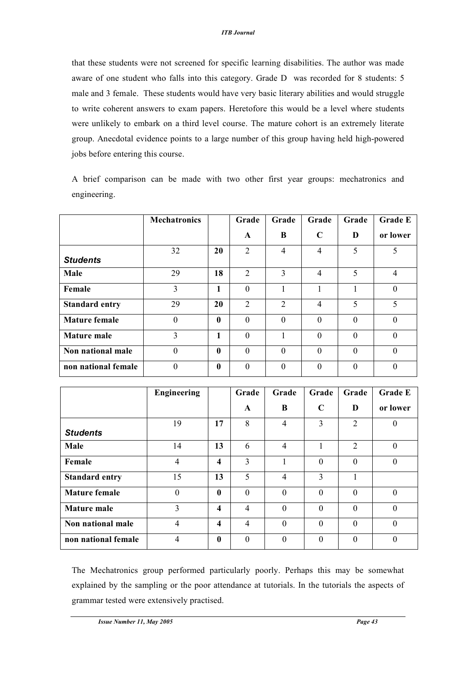that these students were not screened for specific learning disabilities. The author was made aware of one student who falls into this category. Grade D was recorded for 8 students: 5 male and 3 female. These students would have very basic literary abilities and would struggle to write coherent answers to exam papers. Heretofore this would be a level where students were unlikely to embark on a third level course. The mature cohort is an extremely literate group. Anecdotal evidence points to a large number of this group having held high-powered jobs before entering this course.

A brief comparison can be made with two other first year groups: mechatronics and engineering.

|                       | <b>Mechatronics</b> |              | Grade          | Grade          | Grade       | Grade    | <b>Grade E</b>   |
|-----------------------|---------------------|--------------|----------------|----------------|-------------|----------|------------------|
|                       |                     |              | A              | B              | $\mathbf C$ | D        | or lower         |
|                       | 32                  | 20           | $\overline{2}$ | $\overline{4}$ | 4           | 5        |                  |
| <b>Students</b>       |                     |              |                |                |             |          |                  |
| Male                  | 29                  | 18           | $\mathfrak{D}$ | 3              | 4           | 5        | 4                |
| Female                | 3                   | 1            | $\Omega$       |                |             |          | $\boldsymbol{0}$ |
| <b>Standard entry</b> | 29                  | 20           | $\overline{2}$ | 2              | 4           | 5        | 5                |
| <b>Mature female</b>  | $\theta$            | $\mathbf{0}$ | $\Omega$       | $\Omega$       | $\theta$    | $\Omega$ | $\boldsymbol{0}$ |
| <b>Mature male</b>    | 3                   | 1            | $\Omega$       |                | $\theta$    | $\theta$ | $\theta$         |
| Non national male     | $\theta$            | $\mathbf{0}$ | $\Omega$       | $\theta$       | $\theta$    | $\Omega$ | $\theta$         |
| non national female   | $\theta$            | $\mathbf{0}$ | $\Omega$       | $\Omega$       | $\Omega$    | $\Omega$ | 0                |

|                       | <b>Engineering</b> |              | Grade        | Grade          | Grade       | Grade    | <b>Grade E</b>   |
|-----------------------|--------------------|--------------|--------------|----------------|-------------|----------|------------------|
|                       |                    |              | $\mathbf{A}$ | B              | $\mathbf C$ | D        | or lower         |
| <b>Students</b>       | 19                 | 17           | 8            | $\overline{4}$ | 3           | 2        | $\boldsymbol{0}$ |
| Male                  | 14                 | 13           | 6            | $\overline{4}$ |             | 2        | $\theta$         |
| Female                | $\overline{4}$     | 4            | 3            |                | $\theta$    | $\theta$ | $\mathbf{0}$     |
| <b>Standard entry</b> | 15                 | 13           | 5            | $\overline{4}$ | 3           | 1        |                  |
| <b>Mature female</b>  | $\boldsymbol{0}$   | $\mathbf{0}$ | $\theta$     | $\theta$       | $\theta$    | $\theta$ | $\theta$         |
| <b>Mature male</b>    | 3                  | 4            | 4            | $\Omega$       | $\Omega$    | $\Omega$ | $\Omega$         |
| Non national male     | $\overline{4}$     | 4            | 4            | $\theta$       | $\theta$    | $\theta$ | $\theta$         |
| non national female   | $\overline{4}$     | 0            | $\theta$     | $\Omega$       | $\Omega$    | $\theta$ | $\theta$         |

The Mechatronics group performed particularly poorly. Perhaps this may be somewhat explained by the sampling or the poor attendance at tutorials. In the tutorials the aspects of grammar tested were extensively practised.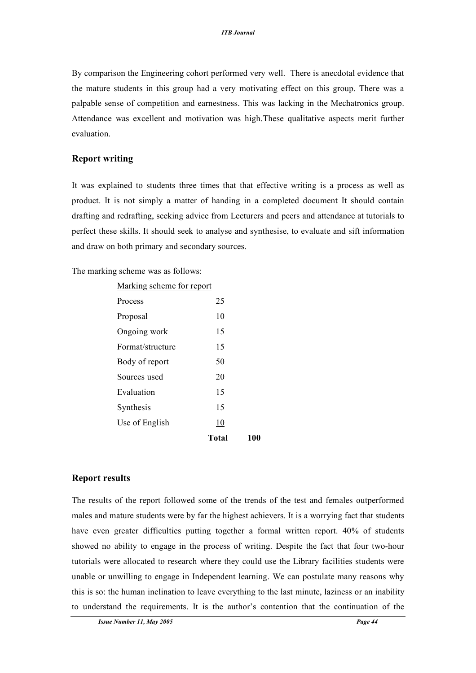By comparison the Engineering cohort performed very well. There is anecdotal evidence that the mature students in this group had a very motivating effect on this group. There was a palpable sense of competition and earnestness. This was lacking in the Mechatronics group. Attendance was excellent and motivation was high.These qualitative aspects merit further evaluation.

### **Report writing**

It was explained to students three times that that effective writing is a process as well as product. It is not simply a matter of handing in a completed document It should contain drafting and redrafting, seeking advice from Lecturers and peers and attendance at tutorials to perfect these skills. It should seek to analyse and synthesise, to evaluate and sift information and draw on both primary and secondary sources.

The marking scheme was as follows:

|                           | Total |  |  |  |  |
|---------------------------|-------|--|--|--|--|
| Use of English            | 10    |  |  |  |  |
| Synthesis                 | 15    |  |  |  |  |
| Evaluation                | 15    |  |  |  |  |
| Sources used              | 20    |  |  |  |  |
| Body of report            | 50    |  |  |  |  |
| Format/structure          | 15    |  |  |  |  |
| Ongoing work              | 15    |  |  |  |  |
| Proposal                  | 10    |  |  |  |  |
| Process                   | 25    |  |  |  |  |
| Marking scheme for report |       |  |  |  |  |

### **Report results**

The results of the report followed some of the trends of the test and females outperformed males and mature students were by far the highest achievers. It is a worrying fact that students have even greater difficulties putting together a formal written report. 40% of students showed no ability to engage in the process of writing. Despite the fact that four two-hour tutorials were allocated to research where they could use the Library facilities students were unable or unwilling to engage in Independent learning. We can postulate many reasons why this is so: the human inclination to leave everything to the last minute, laziness or an inability to understand the requirements. It is the author's contention that the continuation of the

**Total 100**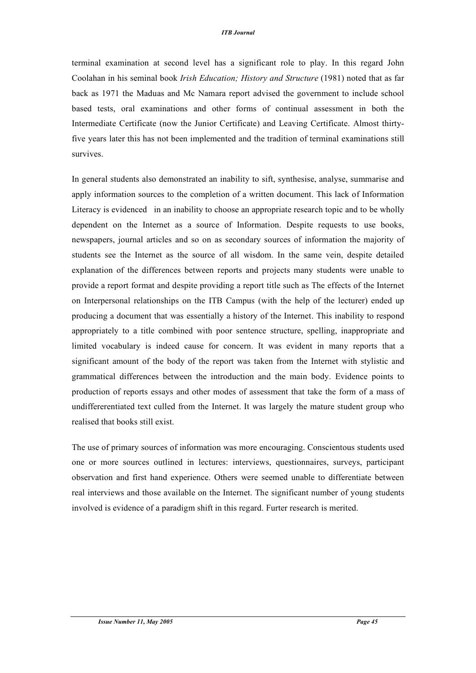terminal examination at second level has a significant role to play. In this regard John Coolahan in his seminal book *Irish Education; History and Structure* (1981) noted that as far back as 1971 the Maduas and Mc Namara report advised the government to include school based tests, oral examinations and other forms of continual assessment in both the Intermediate Certificate (now the Junior Certificate) and Leaving Certificate. Almost thirtyfive years later this has not been implemented and the tradition of terminal examinations still survives.

In general students also demonstrated an inability to sift, synthesise, analyse, summarise and apply information sources to the completion of a written document. This lack of Information Literacy is evidenced in an inability to choose an appropriate research topic and to be wholly dependent on the Internet as a source of Information. Despite requests to use books, newspapers, journal articles and so on as secondary sources of information the majority of students see the Internet as the source of all wisdom. In the same vein, despite detailed explanation of the differences between reports and projects many students were unable to provide a report format and despite providing a report title such as The effects of the Internet on Interpersonal relationships on the ITB Campus (with the help of the lecturer) ended up producing a document that was essentially a history of the Internet. This inability to respond appropriately to a title combined with poor sentence structure, spelling, inappropriate and limited vocabulary is indeed cause for concern. It was evident in many reports that a significant amount of the body of the report was taken from the Internet with stylistic and grammatical differences between the introduction and the main body. Evidence points to production of reports essays and other modes of assessment that take the form of a mass of undiffererentiated text culled from the Internet. It was largely the mature student group who realised that books still exist.

The use of primary sources of information was more encouraging. Conscientous students used one or more sources outlined in lectures: interviews, questionnaires, surveys, participant observation and first hand experience. Others were seemed unable to differentiate between real interviews and those available on the Internet. The significant number of young students involved is evidence of a paradigm shift in this regard. Furter research is merited.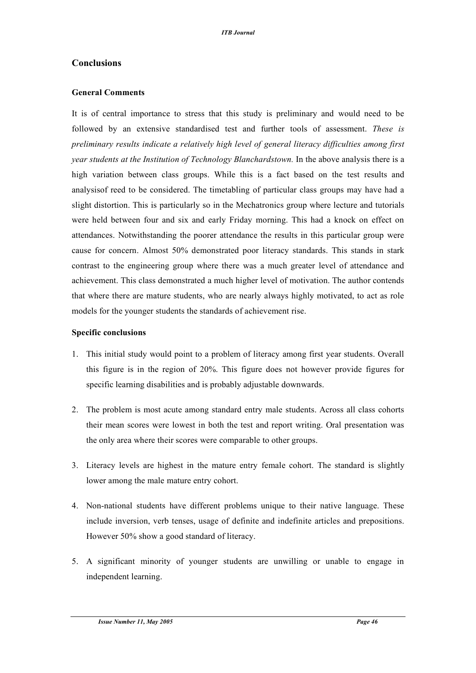# **Conclusions**

### **General Comments**

It is of central importance to stress that this study is preliminary and would need to be followed by an extensive standardised test and further tools of assessment. *These is preliminary results indicate a relatively high level of general literacy difficulties among first year students at the Institution of Technology Blanchardstown.* In the above analysis there is a high variation between class groups. While this is a fact based on the test results and analysisof reed to be considered. The timetabling of particular class groups may have had a slight distortion. This is particularly so in the Mechatronics group where lecture and tutorials were held between four and six and early Friday morning. This had a knock on effect on attendances. Notwithstanding the poorer attendance the results in this particular group were cause for concern. Almost 50% demonstrated poor literacy standards. This stands in stark contrast to the engineering group where there was a much greater level of attendance and achievement. This class demonstrated a much higher level of motivation. The author contends that where there are mature students, who are nearly always highly motivated, to act as role models for the younger students the standards of achievement rise.

#### **Specific conclusions**

- 1. This initial study would point to a problem of literacy among first year students. Overall this figure is in the region of 20%. This figure does not however provide figures for specific learning disabilities and is probably adjustable downwards.
- 2. The problem is most acute among standard entry male students. Across all class cohorts their mean scores were lowest in both the test and report writing. Oral presentation was the only area where their scores were comparable to other groups.
- 3. Literacy levels are highest in the mature entry female cohort. The standard is slightly lower among the male mature entry cohort.
- 4. Non-national students have different problems unique to their native language. These include inversion, verb tenses, usage of definite and indefinite articles and prepositions. However 50% show a good standard of literacy.
- 5. A significant minority of younger students are unwilling or unable to engage in independent learning.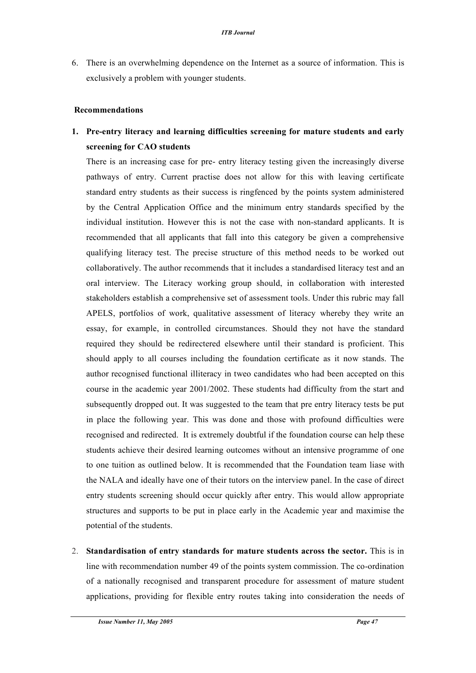6. There is an overwhelming dependence on the Internet as a source of information. This is exclusively a problem with younger students.

#### **Recommendations**

# **1. Pre-entry literacy and learning difficulties screening for mature students and early screening for CAO students**

There is an increasing case for pre- entry literacy testing given the increasingly diverse pathways of entry. Current practise does not allow for this with leaving certificate standard entry students as their success is ringfenced by the points system administered by the Central Application Office and the minimum entry standards specified by the individual institution. However this is not the case with non-standard applicants. It is recommended that all applicants that fall into this category be given a comprehensive qualifying literacy test. The precise structure of this method needs to be worked out collaboratively. The author recommends that it includes a standardised literacy test and an oral interview. The Literacy working group should, in collaboration with interested stakeholders establish a comprehensive set of assessment tools. Under this rubric may fall APELS, portfolios of work, qualitative assessment of literacy whereby they write an essay, for example, in controlled circumstances. Should they not have the standard required they should be redirectered elsewhere until their standard is proficient. This should apply to all courses including the foundation certificate as it now stands. The author recognised functional illiteracy in tweo candidates who had been accepted on this course in the academic year 2001/2002. These students had difficulty from the start and subsequently dropped out. It was suggested to the team that pre entry literacy tests be put in place the following year. This was done and those with profound difficulties were recognised and redirected. It is extremely doubtful if the foundation course can help these students achieve their desired learning outcomes without an intensive programme of one to one tuition as outlined below. It is recommended that the Foundation team liase with the NALA and ideally have one of their tutors on the interview panel. In the case of direct entry students screening should occur quickly after entry. This would allow appropriate structures and supports to be put in place early in the Academic year and maximise the potential of the students.

2. **Standardisation of entry standards for mature students across the sector.** This is in line with recommendation number 49 of the points system commission. The co-ordination of a nationally recognised and transparent procedure for assessment of mature student applications, providing for flexible entry routes taking into consideration the needs of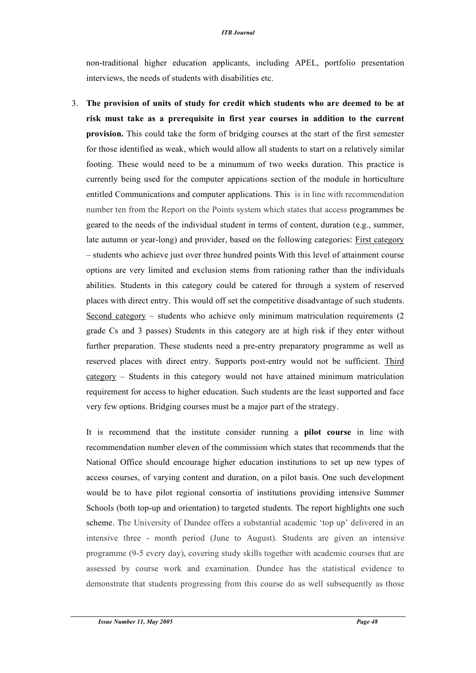#### *ITB Journal*

non-traditional higher education applicants, including APEL, portfolio presentation interviews, the needs of students with disabilities etc.

3. **The provision of units of study for credit which students who are deemed to be at risk must take as a prerequisite in first year courses in addition to the current provision.** This could take the form of bridging courses at the start of the first semester for those identified as weak, which would allow all students to start on a relatively similar footing. These would need to be a minumum of two weeks duration. This practice is currently being used for the computer appications section of the module in horticulture entitled Communications and computer applications. This is in line with recommendation number ten from the Report on the Points system which states that access programmes be geared to the needs of the individual student in terms of content, duration (e.g., summer, late autumn or year-long) and provider, based on the following categories: First category – students who achieve just over three hundred points With this level of attainment course options are very limited and exclusion stems from rationing rather than the individuals abilities. Students in this category could be catered for through a system of reserved places with direct entry. This would off set the competitive disadvantage of such students. Second category – students who achieve only minimum matriculation requirements (2 grade Cs and 3 passes) Students in this category are at high risk if they enter without further preparation. These students need a pre-entry preparatory programme as well as reserved places with direct entry. Supports post-entry would not be sufficient. Third category – Students in this category would not have attained minimum matriculation requirement for access to higher education. Such students are the least supported and face very few options. Bridging courses must be a major part of the strategy.

It is recommend that the institute consider running a **pilot course** in line with recommendation number eleven of the commission which states that recommends that the National Office should encourage higher education institutions to set up new types of access courses, of varying content and duration, on a pilot basis. One such development would be to have pilot regional consortia of institutions providing intensive Summer Schools (both top-up and orientation) to targeted students. The report highlights one such scheme. The University of Dundee offers a substantial academic 'top up' delivered in an intensive three - month period (June to August). Students are given an intensive programme (9-5 every day), covering study skills together with academic courses that are assessed by course work and examination. Dundee has the statistical evidence to demonstrate that students progressing from this course do as well subsequently as those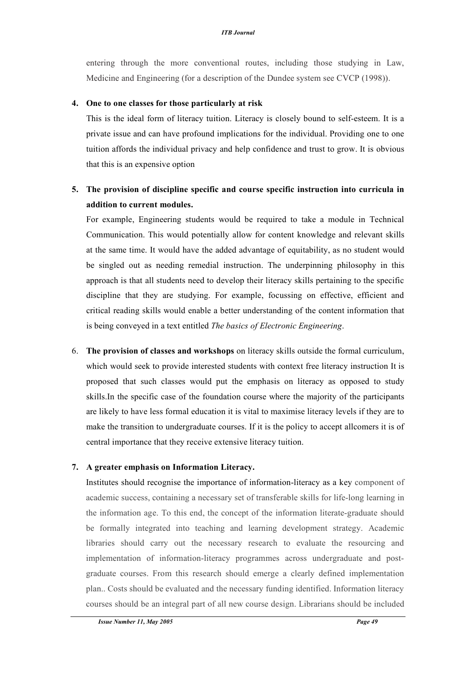entering through the more conventional routes, including those studying in Law, Medicine and Engineering (for a description of the Dundee system see CVCP (1998)).

#### **4. One to one classes for those particularly at risk**

This is the ideal form of literacy tuition. Literacy is closely bound to self-esteem. It is a private issue and can have profound implications for the individual. Providing one to one tuition affords the individual privacy and help confidence and trust to grow. It is obvious that this is an expensive option

# **5. The provision of discipline specific and course specific instruction into curricula in addition to current modules.**

For example, Engineering students would be required to take a module in Technical Communication. This would potentially allow for content knowledge and relevant skills at the same time. It would have the added advantage of equitability, as no student would be singled out as needing remedial instruction. The underpinning philosophy in this approach is that all students need to develop their literacy skills pertaining to the specific discipline that they are studying. For example, focussing on effective, efficient and critical reading skills would enable a better understanding of the content information that is being conveyed in a text entitled *The basics of Electronic Engineering*.

6. **The provision of classes and workshops** on literacy skills outside the formal curriculum, which would seek to provide interested students with context free literacy instruction It is proposed that such classes would put the emphasis on literacy as opposed to study skills.In the specific case of the foundation course where the majority of the participants are likely to have less formal education it is vital to maximise literacy levels if they are to make the transition to undergraduate courses. If it is the policy to accept allcomers it is of central importance that they receive extensive literacy tuition.

#### **7. A greater emphasis on Information Literacy.**

Institutes should recognise the importance of information-literacy as a key component of academic success, containing a necessary set of transferable skills for life-long learning in the information age. To this end, the concept of the information literate-graduate should be formally integrated into teaching and learning development strategy. Academic libraries should carry out the necessary research to evaluate the resourcing and implementation of information-literacy programmes across undergraduate and postgraduate courses. From this research should emerge a clearly defined implementation plan.. Costs should be evaluated and the necessary funding identified. Information literacy courses should be an integral part of all new course design. Librarians should be included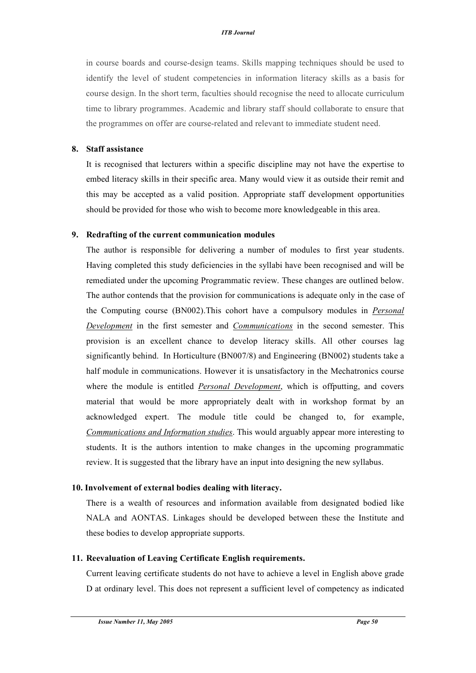in course boards and course-design teams. Skills mapping techniques should be used to identify the level of student competencies in information literacy skills as a basis for course design. In the short term, faculties should recognise the need to allocate curriculum time to library programmes. Academic and library staff should collaborate to ensure that the programmes on offer are course-related and relevant to immediate student need.

#### **8. Staff assistance**

It is recognised that lecturers within a specific discipline may not have the expertise to embed literacy skills in their specific area. Many would view it as outside their remit and this may be accepted as a valid position. Appropriate staff development opportunities should be provided for those who wish to become more knowledgeable in this area.

#### **9. Redrafting of the current communication modules**

The author is responsible for delivering a number of modules to first year students. Having completed this study deficiencies in the syllabi have been recognised and will be remediated under the upcoming Programmatic review. These changes are outlined below. The author contends that the provision for communications is adequate only in the case of the Computing course (BN002).This cohort have a compulsory modules in *Personal Development* in the first semester and *Communications* in the second semester. This provision is an excellent chance to develop literacy skills. All other courses lag significantly behind. In Horticulture (BN007/8) and Engineering (BN002) students take a half module in communications. However it is unsatisfactory in the Mechatronics course where the module is entitled *Personal Development*, which is offputting, and covers material that would be more appropriately dealt with in workshop format by an acknowledged expert. The module title could be changed to, for example, *Communications and Information studies*. This would arguably appear more interesting to students. It is the authors intention to make changes in the upcoming programmatic review. It is suggested that the library have an input into designing the new syllabus.

#### **10. Involvement of external bodies dealing with literacy.**

There is a wealth of resources and information available from designated bodied like NALA and AONTAS. Linkages should be developed between these the Institute and these bodies to develop appropriate supports.

#### **11. Reevaluation of Leaving Certificate English requirements.**

Current leaving certificate students do not have to achieve a level in English above grade D at ordinary level. This does not represent a sufficient level of competency as indicated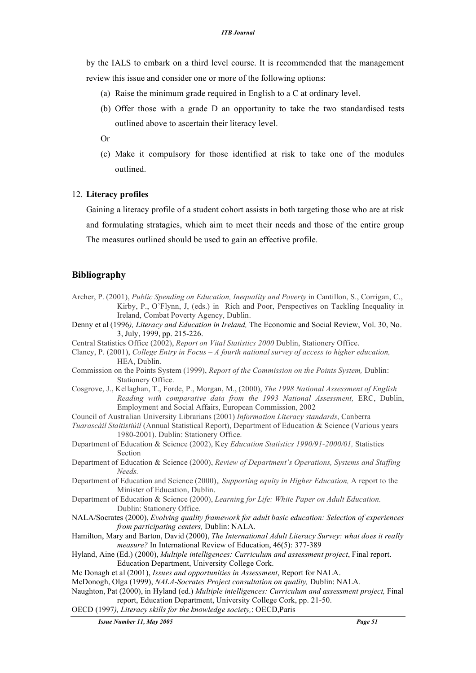by the IALS to embark on a third level course. It is recommended that the management review this issue and consider one or more of the following options:

- (a) Raise the minimum grade required in English to a C at ordinary level.
- (b) Offer those with a grade D an opportunity to take the two standardised tests outlined above to ascertain their literacy level.
- Or
- (c) Make it compulsory for those identified at risk to take one of the modules outlined.

#### 12. **Literacy profiles**

Gaining a literacy profile of a student cohort assists in both targeting those who are at risk and formulating stratagies, which aim to meet their needs and those of the entire group The measures outlined should be used to gain an effective profile.

#### **Bibliography**

- Archer, P. (2001), *Public Spending on Education, Inequality and Poverty* in Cantillon, S., Corrigan, C., Kirby, P., O'Flynn, J, (eds.) in Rich and Poor, Perspectives on Tackling Inequality in Ireland, Combat Poverty Agency, Dublin.
- Denny et al (1996*), Literacy and Education in Ireland,* The Economic and Social Review, Vol. 30, No. 3, July, 1999, pp. 215-226.
- Central Statistics Office (2002), *Report on Vital Statistics 2000* Dublin, Stationery Office.
- Clancy, P. (2001), *College Entry in Focus – A fourth national survey of access to higher education,* HEA, Dublin.
- Commission on the Points System (1999), *Report of the Commission on the Points System,* Dublin: Stationery Office.
- Cosgrove, J., Kellaghan, T., Forde, P., Morgan, M., (2000), *The 1998 National Assessment of English Reading with comparative data from the 1993 National Assessment,* ERC, Dublin, Employment and Social Affairs, European Commission, 2002
- Council of Australian University Librarians (2001) *Information Literacy standards*, Canberra *Tuarascáil Staitistiúil* (Annual Statistical Report), Department of Education & Science (Various years

1980-2001). Dublin: Stationery Office.

- Department of Education & Science (2002), Key *Education Statistics 1990/91-2000/01,* Statistics Section
- Department of Education & Science (2000), *Review of Department's Operations, Systems and Staffing Needs.*
- Department of Education and Science (2000),*, Supporting equity in Higher Education,* A report to the Minister of Education, Dublin.
- Department of Education & Science (2000), *Learnin*g *for Life: White Paper on Adult Education.* Dublin: Stationery Office.
- NALA/Socrates (2000), *Evolving quality framework for adult basic education: Selection of experiences from participating centers,* Dublin: NALA.
- Hamilton, Mary and Barton, David (2000), *The International Adult Literacy Survey: what does it really measure?* In International Review of Education, 46(5): 377-389
- Hyland, Aine (Ed.) (2000), *Multiple intelligences: Curriculum and assessment project*, Final report. Education Department, University College Cork.
- Mc Donagh et al (2001), *Issues and opportunities in Assessment*, Report for NALA.
- McDonogh, Olga (1999), *NALA-Socrates Project consultation on quality,* Dublin: NALA.
- Naughton, Pat (2000), in Hyland (ed.) *Multiple intelligences: Curriculum and assessment project,* Final report, Education Department, University College Cork, pp. 21-50.
- OECD (1997*), Literacy skills for the knowledge society,*: OECD,Paris

*Issue Number 11, May 2005 Page 51*